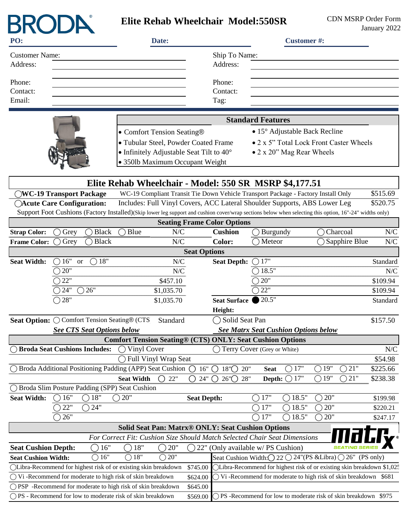## **Elite Rehab Wheelchair Model:550SR** CDN MSRP Order Form

| BRODA                                                                |                          |                                                                                                            |                                                                           |                                                                                                                                                   |                                        | Elite Rehab Wheelchair Model: 550SR                      |                  |                                                                                  |                                                                                                                                                                                                                                                                                                                           | <b>CDN MSRP Order Form</b><br>January 2022 |  |
|----------------------------------------------------------------------|--------------------------|------------------------------------------------------------------------------------------------------------|---------------------------------------------------------------------------|---------------------------------------------------------------------------------------------------------------------------------------------------|----------------------------------------|----------------------------------------------------------|------------------|----------------------------------------------------------------------------------|---------------------------------------------------------------------------------------------------------------------------------------------------------------------------------------------------------------------------------------------------------------------------------------------------------------------------|--------------------------------------------|--|
| PO:                                                                  |                          |                                                                                                            | Date:                                                                     |                                                                                                                                                   |                                        |                                                          | Customer#:       |                                                                                  |                                                                                                                                                                                                                                                                                                                           |                                            |  |
| <b>Customer Name:</b><br>Address:                                    |                          |                                                                                                            |                                                                           |                                                                                                                                                   |                                        | Ship To Name:<br>Address:                                |                  |                                                                                  |                                                                                                                                                                                                                                                                                                                           |                                            |  |
| Phone:<br>Contact:<br>Email:                                         |                          |                                                                                                            |                                                                           |                                                                                                                                                   |                                        | Phone:<br>Contact:<br>Tag:                               |                  |                                                                                  |                                                                                                                                                                                                                                                                                                                           |                                            |  |
|                                                                      | <b>Standard Features</b> |                                                                                                            |                                                                           |                                                                                                                                                   |                                        |                                                          |                  |                                                                                  |                                                                                                                                                                                                                                                                                                                           |                                            |  |
|                                                                      |                          |                                                                                                            |                                                                           | • Comfort Tension Seating®<br>• Tubular Steel, Powder Coated Frame<br>• Infinitely Adjustable Seat Tilt to 40°<br>• 350lb Maximum Occupant Weight |                                        |                                                          |                  | • 15° Adjustable Back Recline<br>• 2 x 20" Mag Rear Wheels                       | • 2 x 5" Total Lock Front Caster Wheels                                                                                                                                                                                                                                                                                   |                                            |  |
|                                                                      |                          |                                                                                                            | Elite Rehab Wheelchair - Model: 550 SR MSRP \$4,177.51                    |                                                                                                                                                   |                                        |                                                          |                  |                                                                                  |                                                                                                                                                                                                                                                                                                                           |                                            |  |
| <b>OWC-19 Transport Package</b>                                      |                          | <b>Acute Care Configuration:</b>                                                                           |                                                                           |                                                                                                                                                   |                                        |                                                          |                  |                                                                                  | WC-19 Compliant Transit Tie Down Vehicle Transport Package - Factory Install Only<br>Includes: Full Vinyl Covers, ACC Lateral Shoulder Supports, ABS Lower Leg<br>Support Foot Cushions (Factory Installed)(Skip lower leg support and cushion cover/wrap sections below when selecting this option, 16"-24" widths only) | \$515.69<br>\$520.75                       |  |
|                                                                      |                          |                                                                                                            |                                                                           |                                                                                                                                                   |                                        | <b>Seating Frame Color Options</b>                       |                  |                                                                                  |                                                                                                                                                                                                                                                                                                                           |                                            |  |
| <b>Strap Color:</b>                                                  | Grey                     | <b>Black</b>                                                                                               | Blue                                                                      | N/C                                                                                                                                               |                                        | <b>Cushion</b>                                           | Burgundy         |                                                                                  | Charcoal                                                                                                                                                                                                                                                                                                                  | N/C                                        |  |
| <b>Frame Color:</b>                                                  | Grey                     | <b>Black</b>                                                                                               |                                                                           | N/C                                                                                                                                               | <b>Seat Options</b>                    | <b>Color:</b>                                            | Meteor           |                                                                                  | Sapphire Blue                                                                                                                                                                                                                                                                                                             | N/C                                        |  |
| <b>Seat Width:</b>                                                   | $\bigcap 16$ " or        | 18"                                                                                                        |                                                                           | N/C                                                                                                                                               |                                        | <b>Seat Depth:</b>                                       | $\bigcirc$ 17"   |                                                                                  |                                                                                                                                                                                                                                                                                                                           | Standard                                   |  |
|                                                                      | $\bigcirc$ 20"           |                                                                                                            |                                                                           | N/C                                                                                                                                               |                                        |                                                          | $\bigcirc$ 18.5" |                                                                                  |                                                                                                                                                                                                                                                                                                                           | N/C                                        |  |
|                                                                      | 22"                      |                                                                                                            |                                                                           | \$457.10                                                                                                                                          |                                        |                                                          | $\bigcirc$ 20"   |                                                                                  |                                                                                                                                                                                                                                                                                                                           | \$109.94                                   |  |
|                                                                      | 24"                      | 26"                                                                                                        |                                                                           | \$1,035.70                                                                                                                                        |                                        |                                                          | 22"              |                                                                                  |                                                                                                                                                                                                                                                                                                                           | \$109.94                                   |  |
|                                                                      | 28"                      |                                                                                                            |                                                                           | \$1,035.70                                                                                                                                        |                                        | <b>Seat Surface</b><br>Height:                           | 20.5"            |                                                                                  |                                                                                                                                                                                                                                                                                                                           | Standard                                   |  |
| Seat Option: O Comfort Tension Seating® (CTS                         |                          |                                                                                                            |                                                                           | Standard                                                                                                                                          |                                        | Solid Seat Pan                                           |                  |                                                                                  |                                                                                                                                                                                                                                                                                                                           | \$157.50                                   |  |
|                                                                      |                          | <b>See CTS Seat Options below</b>                                                                          |                                                                           |                                                                                                                                                   |                                        |                                                          |                  | <b>See Matrx Seat Cushion Options below</b>                                      |                                                                                                                                                                                                                                                                                                                           |                                            |  |
|                                                                      |                          |                                                                                                            | <b>Comfort Tension Seating® (CTS) ONLY: Seat Cushion Options</b>          |                                                                                                                                                   |                                        |                                                          |                  |                                                                                  |                                                                                                                                                                                                                                                                                                                           |                                            |  |
|                                                                      |                          | <b>Broda Seat Cushions Includes:</b>                                                                       | $\bigcirc$ Vinyl Cover                                                    | Full Vinyl Wrap Seat                                                                                                                              |                                        | Terry Cover (Grey or White)                              |                  |                                                                                  |                                                                                                                                                                                                                                                                                                                           | N/C<br>\$54.98                             |  |
|                                                                      |                          | Broda Additional Positioning Padding (APP) Seat Cushion (<br>Broda Slim Posture Padding (SPP) Seat Cushion | <b>Seat Width</b>                                                         | ◯<br>22"                                                                                                                                          | 16"<br>( )<br>24"<br>$\bigcirc$<br>( ) | $18''$ ()<br>20"<br>28"<br>$26^{\circ}$                  | <b>Seat</b>      | 17"<br>$\left( \begin{array}{c} \end{array} \right)$<br>17"<br>Depth: $\bigcirc$ | 19"<br>21"<br>.)<br>$\rightarrow$<br>19"<br>21"<br>$\left( \begin{array}{c} \end{array} \right)$                                                                                                                                                                                                                          | \$225.66<br>\$238.38                       |  |
| <b>Seat Width:</b>                                                   | 16"                      | $\bigcirc$ 18"                                                                                             | 20"                                                                       |                                                                                                                                                   | <b>Seat Depth:</b>                     |                                                          | 17"              | 18.5"                                                                            | 20"<br>$\Box$                                                                                                                                                                                                                                                                                                             | \$199.98                                   |  |
|                                                                      | 22"                      | 24"                                                                                                        |                                                                           |                                                                                                                                                   |                                        |                                                          | 17"              | 18.5"                                                                            | 20"                                                                                                                                                                                                                                                                                                                       | \$220.21                                   |  |
|                                                                      | 26"                      |                                                                                                            |                                                                           |                                                                                                                                                   |                                        |                                                          | 17"              | 18.5"                                                                            | 20"<br>$\Box$                                                                                                                                                                                                                                                                                                             | \$247.17                                   |  |
|                                                                      |                          |                                                                                                            |                                                                           |                                                                                                                                                   |                                        | <b>Solid Seat Pan: Matrx® ONLY: Seat Cushion Options</b> |                  |                                                                                  |                                                                                                                                                                                                                                                                                                                           |                                            |  |
|                                                                      |                          |                                                                                                            | For Correct Fit: Cushion Size Should Match Selected Chair Seat Dimensions |                                                                                                                                                   |                                        |                                                          |                  |                                                                                  |                                                                                                                                                                                                                                                                                                                           |                                            |  |
| <b>Seat Cushion Depth:</b><br><b>Seat Cushion Width:</b>             |                          | 16"<br>$\bigcirc$ 16"                                                                                      | 18"<br>$\bigcirc$ 18"                                                     | 20"<br>$\bigcirc$ 20"                                                                                                                             |                                        | 22" (Only available w/ PS Cushion)                       |                  |                                                                                  | Seat Cushion Width: $\bigcirc$ 22 $\bigcirc$ 24" (PS & Libra) $\bigcirc$ 26" (PS only)                                                                                                                                                                                                                                    |                                            |  |
|                                                                      |                          | ◯Libra-Recommend for highest risk of or existing skin breakdown                                            |                                                                           |                                                                                                                                                   | \$745.00                               |                                                          |                  |                                                                                  | OLibra-Recommend for highest risk of or existing skin breakdown \$1,025                                                                                                                                                                                                                                                   |                                            |  |
| $\bigcirc$ Vi -Recommend for moderate to high risk of skin breakdown |                          |                                                                                                            |                                                                           |                                                                                                                                                   | \$624.00                               |                                                          |                  |                                                                                  | Vi-Recommend for moderate to high risk of skin breakdown \$681                                                                                                                                                                                                                                                            |                                            |  |
| ◯ PSP -Recommend for moderate to high risk of skin breakdown         |                          |                                                                                                            |                                                                           |                                                                                                                                                   | \$645.00                               |                                                          |                  |                                                                                  |                                                                                                                                                                                                                                                                                                                           |                                            |  |
|                                                                      |                          | $\bigcirc$ PS - Recommend for low to moderate risk of skin breakdown                                       |                                                                           |                                                                                                                                                   | \$569.00                               |                                                          |                  |                                                                                  | PS -Recommend for low to moderate risk of skin breakdown \$975                                                                                                                                                                                                                                                            |                                            |  |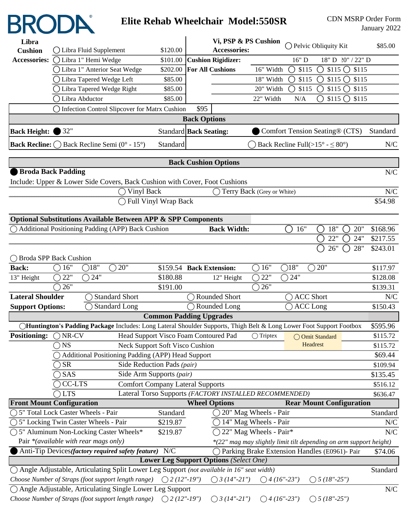

## **Elite Rehab Wheelchair Model:550SR** CDN MSRP Order Form

| Libra                   |                                                                                                                      |                       |                                                        | Vi, PSP & PS Cushion                               |                                                    |                                                                            |          |  |  |  |
|-------------------------|----------------------------------------------------------------------------------------------------------------------|-----------------------|--------------------------------------------------------|----------------------------------------------------|----------------------------------------------------|----------------------------------------------------------------------------|----------|--|--|--|
| <b>Cushion</b>          | ◯ Libra Fluid Supplement                                                                                             | \$120.00              | <b>Accessories:</b>                                    | Pelvic Obliquity Kit                               |                                                    |                                                                            | \$85.00  |  |  |  |
| <b>Accessories:</b>     | ○ Libra 1" Hemi Wedge                                                                                                | \$101.00              | <b>Cushion Rigidizer:</b>                              |                                                    | 16" D                                              | 18" D 20" / 22" D                                                          |          |  |  |  |
|                         | ◯ Libra 1" Anterior Seat Wedge                                                                                       | \$202.00              | <b>For All Cushions</b>                                | 16" Width                                          | \$115<br>$\left(\right)$                           | $$115$ $\bigcirc$<br>\$115<br>$\left( \ \right)$                           |          |  |  |  |
|                         | Libra Tapered Wedge Left                                                                                             | \$85.00               |                                                        | 18" Width                                          | $\bigcirc$ \$115                                   | $$115$ $\bigcap$<br>\$115<br>$\left( \begin{array}{c} \end{array} \right)$ |          |  |  |  |
|                         | ◯ Libra Tapered Wedge Right                                                                                          | \$85.00               |                                                        | 20" Width                                          | \$115<br>( )                                       | $\bigcirc$<br>$$115$ $\bigcirc$<br>\$115                                   |          |  |  |  |
|                         | Libra Abductor                                                                                                       | \$85.00               |                                                        | 22" Width                                          | N/A                                                | \$115<br>\$115<br>()                                                       |          |  |  |  |
|                         | Infection Control Slipcover for Matrx Cushion                                                                        |                       | \$95                                                   |                                                    |                                                    |                                                                            |          |  |  |  |
| <b>Back Options</b>     |                                                                                                                      |                       |                                                        |                                                    |                                                    |                                                                            |          |  |  |  |
| <b>Back Height:</b>     | 32"                                                                                                                  |                       | <b>Standard Back Seating:</b>                          |                                                    |                                                    | Comfort Tension Seating® (CTS)                                             | Standard |  |  |  |
| <b>Back Recline:</b> () | Back Recline Semi ( $0^{\circ}$ - 15°)                                                                               | Standard              |                                                        |                                                    |                                                    | Back Recline Full( $>15^{\circ} - \leq 80^{\circ}$ )                       | N/C      |  |  |  |
|                         |                                                                                                                      |                       | <b>Back Cushion Options</b>                            |                                                    |                                                    |                                                                            |          |  |  |  |
|                         | <b>Broda Back Padding</b>                                                                                            |                       |                                                        |                                                    |                                                    |                                                                            | N/C      |  |  |  |
|                         | Include: Upper & Lower Side Covers, Back Cushion with Cover, Foot Cushions                                           |                       |                                                        |                                                    |                                                    |                                                                            |          |  |  |  |
|                         | $\bigcirc$ Vinyl Back                                                                                                |                       |                                                        | ◯ Terry Back (Grey or White)                       |                                                    |                                                                            | N/C      |  |  |  |
|                         |                                                                                                                      | Full Vinyl Wrap Back  |                                                        |                                                    |                                                    |                                                                            | \$54.98  |  |  |  |
|                         | <b>Optional Substitutions Available Between APP &amp; SPP Components</b>                                             |                       |                                                        |                                                    |                                                    |                                                                            |          |  |  |  |
|                         | ◯ Additional Positioning Padding (APP) Back Cushion                                                                  |                       | <b>Back Width:</b>                                     |                                                    | 16"<br>$\left(\begin{array}{c} \end{array}\right)$ | 18"<br>20"<br>$\Box$                                                       | \$168.96 |  |  |  |
|                         |                                                                                                                      |                       |                                                        |                                                    |                                                    | 24"<br>22"                                                                 | \$217.55 |  |  |  |
|                         |                                                                                                                      |                       |                                                        |                                                    |                                                    | 26"<br>28"<br>$\Box$                                                       | \$243.01 |  |  |  |
|                         | ◯ Broda SPP Back Cushion                                                                                             |                       |                                                        |                                                    |                                                    |                                                                            |          |  |  |  |
| <b>Back:</b>            | 18"<br>20"<br>16"<br>$\rightarrow$<br>$($ )                                                                          |                       | \$159.54 Back Extension:                               | 16"<br>◯                                           | $\bigcirc$ 18"                                     | 20"                                                                        | \$117.97 |  |  |  |
| 13" Height              | $\bigcirc$ 22"<br>$\bigcirc$ 24"                                                                                     | \$180.88              | 12" Height                                             | 22"<br>$\left(\begin{array}{c} \end{array}\right)$ | $\bigcirc$ 24"                                     |                                                                            | \$128.08 |  |  |  |
|                         | $\bigcirc$ 26"                                                                                                       | \$191.00              |                                                        | $\bigcirc$ 26"                                     |                                                    |                                                                            | \$139.31 |  |  |  |
| <b>Lateral Shoulder</b> | $\bigcap$ Standard Short                                                                                             |                       | Rounded Short                                          |                                                    | $\bigcap$ ACC Short                                |                                                                            | N/C      |  |  |  |
| <b>Support Options:</b> | <b>Standard Long</b>                                                                                                 |                       | Rounded Long                                           |                                                    | <b>ACC</b> Long                                    |                                                                            | \$150.43 |  |  |  |
|                         |                                                                                                                      |                       | <b>Common Padding Upgrades</b>                         |                                                    |                                                    |                                                                            |          |  |  |  |
|                         | ◯Huntington's Padding Package Includes: Long Lateral Shoulder Supports, Thigh Belt & Long Lower Foot Support Footbox |                       |                                                        |                                                    |                                                    |                                                                            | \$595.96 |  |  |  |
|                         | Positioning: ONR-CV                                                                                                  |                       | Head Support Visco Foam Contoured Pad                  | $\bigcirc$ Triptex                                 |                                                    | O Omit Standard                                                            | \$115.72 |  |  |  |
|                         | $\bigcirc$ NS<br><b>Neck Support Soft Visco Cushion</b>                                                              |                       |                                                        |                                                    |                                                    | Headrest                                                                   | \$115.72 |  |  |  |
|                         | Additional Positioning Padding (APP) Head Support                                                                    |                       |                                                        |                                                    |                                                    |                                                                            | \$69.44  |  |  |  |
|                         | $\bigcirc$ SR<br>Side Reduction Pads (pair)                                                                          |                       |                                                        |                                                    |                                                    |                                                                            | \$109.94 |  |  |  |
|                         | Side Arm Supports (pair)<br>$)$ SAS                                                                                  |                       |                                                        |                                                    |                                                    |                                                                            | \$135.45 |  |  |  |
|                         | <b>CC-LTS</b>                                                                                                        |                       | <b>Comfort Company Lateral Supports</b>                |                                                    |                                                    |                                                                            | \$516.12 |  |  |  |
|                         | $\bigcap$ LTS                                                                                                        |                       | Lateral Torso Supports (FACTORY INSTALLED RECOMMENDED) |                                                    |                                                    |                                                                            | \$636.47 |  |  |  |
|                         | <b>Front Mount Configuration</b>                                                                                     |                       | <b>Wheel Options</b>                                   |                                                    |                                                    | <b>Rear Mount Configuration</b>                                            |          |  |  |  |
|                         | ◯ 5" Total Lock Caster Wheels - Pair                                                                                 | Standard              |                                                        | 20" Mag Wheels - Pair                              |                                                    |                                                                            | Standard |  |  |  |
|                         | ◯ 5" Locking Twin Caster Wheels - Pair                                                                               | \$219.87              |                                                        | ◯ 14" Mag Wheels - Pair                            |                                                    |                                                                            | N/C      |  |  |  |
|                         | ◯ 5" Aluminum Non-Locking Caster Wheels*                                                                             | \$219.87              |                                                        | 22" Mag Wheels - Pair*                             |                                                    |                                                                            | N/C      |  |  |  |
|                         | Pair *(available with rear mags only)                                                                                |                       |                                                        |                                                    |                                                    | *(22" mag may slightly limit tilt depending on arm support height)         |          |  |  |  |
|                         | Anti-Tip Devices(factory required safety feature) N/C                                                                |                       |                                                        |                                                    |                                                    | Parking Brake Extension Handles (E0961)- Pair                              | \$74.06  |  |  |  |
|                         |                                                                                                                      |                       | <b>Lower Leg Support Options (Select One)</b>          |                                                    |                                                    |                                                                            |          |  |  |  |
|                         | ◯ Angle Adjustable, Articulating Split Lower Leg Support (not available in 16" seat width)                           | $O(2(12 - 19))$       | $\bigcirc$ 3 (14"-21")                                 |                                                    |                                                    |                                                                            | Standard |  |  |  |
|                         | Choose Number of Straps (foot support length range)                                                                  |                       |                                                        | $($ 4 (16"-23")                                    |                                                    | $\bigcirc$ 5 (18"-25")                                                     |          |  |  |  |
|                         | ◯ Angle Adjustable, Articulating Single Lower Leg Support<br>Choose Number of Straps (foot support length range)     | $\bigcap$ 2 (12"-19") | $\bigcirc$ 3 (14"-21")                                 | $\bigcirc$ 4 (16"-23")                             |                                                    | $\bigcirc$ 5 (18"-25")                                                     | N/C      |  |  |  |
|                         |                                                                                                                      |                       |                                                        |                                                    |                                                    |                                                                            |          |  |  |  |